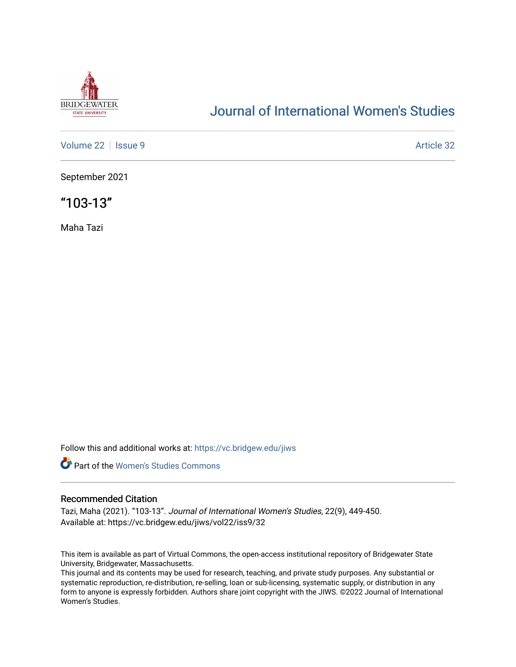

# [Journal of International Women's Studies](https://vc.bridgew.edu/jiws)

[Volume 22](https://vc.bridgew.edu/jiws/vol22) | [Issue 9](https://vc.bridgew.edu/jiws/vol22/iss9) [Article 32](https://vc.bridgew.edu/jiws/vol22/iss9/32) | Issue 9 Article 32

September 2021

"103-13"

Maha Tazi

Follow this and additional works at: [https://vc.bridgew.edu/jiws](https://vc.bridgew.edu/jiws?utm_source=vc.bridgew.edu%2Fjiws%2Fvol22%2Fiss9%2F32&utm_medium=PDF&utm_campaign=PDFCoverPages)



## Recommended Citation

Tazi, Maha (2021). "103-13". Journal of International Women's Studies, 22(9), 449-450. Available at: https://vc.bridgew.edu/jiws/vol22/iss9/32

This item is available as part of Virtual Commons, the open-access institutional repository of Bridgewater State University, Bridgewater, Massachusetts.

This journal and its contents may be used for research, teaching, and private study purposes. Any substantial or systematic reproduction, re-distribution, re-selling, loan or sub-licensing, systematic supply, or distribution in any form to anyone is expressly forbidden. Authors share joint copyright with the JIWS. ©2022 Journal of International Women's Studies.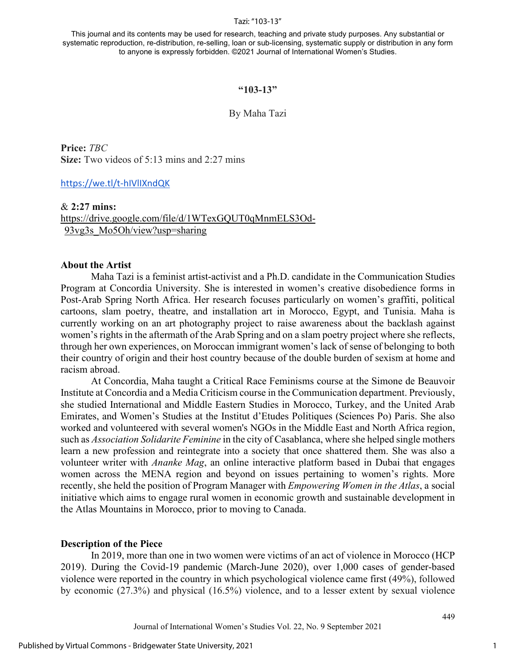#### Tazi: "103-13"

This journal and its contents may be used for research, teaching and private study purposes. Any substantial or systematic reproduction, re-distribution, re-selling, loan or sub-licensing, systematic supply or distribution in any form to anyone is expressly forbidden. ©2021 Journal of International Women's Studies.

### **"103-13"**

### By Maha Tazi

**Price:** *TBC* **Size:** Two videos of 5:13 mins and 2:27 mins

## [https://we.tl/t-hIVlIXndQK](https://nam04.safelinks.protection.outlook.com/?url=https%3A%2F%2Fwe.tl%2Ft-hIVlIXndQK&data=04%7C01%7CD1FOX%40bridgew.edu%7C4edbf7f0638b465954db08d9755cdfc7%7C48ec3bf8d1654eabbbeef8d5307f46e1%7C0%7C0%7C637669864019106956%7CUnknown%7CTWFpbGZsb3d8eyJWIjoiMC4wLjAwMDAiLCJQIjoiV2luMzIiLCJBTiI6Ik1haWwiLCJXVCI6Mn0%3D%7C1000&sdata=R6ZZzBq5m1qeNv1Ex%2FiQ77ntsurPaGVpG6E6OjT77f0%3D&reserved=0)

## & **2:27 mins:**  <https://drive.google.com/file/d/1WTexGQUT0qMnmELS3Od->[93vg3s\\_Mo5Oh/view?usp=sharing](https://nam04.safelinks.protection.outlook.com/?url=https%3A%2F%2Fdrive.google.com%2Ffile%2Fd%2F1WTexGQUT0qMnmELS3Od-93vg3s_Mo5Oh%2Fview%3Fusp%3Dsharing&data=04%7C01%7CJIWS%40bridgew.edu%7Cadee74d3d3b14463f2d308d94d3a0df1%7C48ec3bf8d1654eabbbeef8d5307f46e1%7C0%7C0%7C637625734022312462%7CUnknown%7CTWFpbGZsb3d8eyJWIjoiMC4wLjAwMDAiLCJQIjoiV2luMzIiLCJBTiI6Ik1haWwiLCJXVCI6Mn0%3D%7C1000&sdata=msl3pG8swdL2%2FjF7DwbTggecVGVhURAnPTQJsAPX%2Fac%3D&reserved=0)

## **About the Artist**

Maha Tazi is a feminist artist-activist and a Ph.D. candidate in the Communication Studies Program at Concordia University. She is interested in women's creative disobedience forms in Post-Arab Spring North Africa. Her research focuses particularly on women's graffiti, political cartoons, slam poetry, theatre, and installation art in Morocco, Egypt, and Tunisia. Maha is currently working on an art photography project to raise awareness about the backlash against women's rights in the aftermath of the Arab Spring and on a slam poetry project where she reflects, through her own experiences, on Moroccan immigrant women's lack of sense of belonging to both their country of origin and their host country because of the double burden of sexism at home and racism abroad.

At Concordia, Maha taught a Critical Race Feminisms course at the Simone de Beauvoir Institute at Concordia and a Media Criticism course in the Communication department. Previously, she studied International and Middle Eastern Studies in Morocco, Turkey, and the United Arab Emirates, and Women's Studies at the Institut d'Etudes Politiques (Sciences Po) Paris. She also worked and volunteered with several women's NGOs in the Middle East and North Africa region, such as *Association Solidarite Feminine* in the city of Casablanca, where she helped single mothers learn a new profession and reintegrate into a society that once shattered them. She was also a volunteer writer with *Ananke Mag*, an online interactive platform based in Dubai that engages women across the MENA region and beyond on issues pertaining to women's rights. More recently, she held the position of Program Manager with *Empowering Women in the Atlas*, a social initiative which aims to engage rural women in economic growth and sustainable development in the Atlas Mountains in Morocco, prior to moving to Canada.

## **Description of the Piece**

In 2019, more than one in two women were victims of an act of violence in Morocco (HCP 2019). During the Covid-19 pandemic (March-June 2020), over 1,000 cases of gender-based violence were reported in the country in which psychological violence came first (49%), followed by economic (27.3%) and physical (16.5%) violence, and to a lesser extent by sexual violence